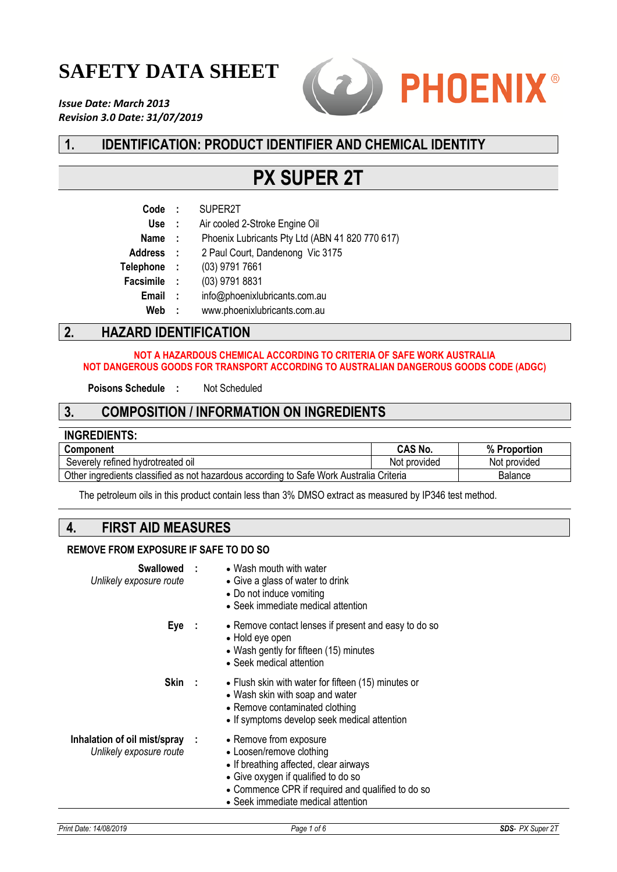# **SAFETY DATA SHEET**

*Issue Date: March 2013 Revision 3.0 Date: 31/07/2019*



# **1. IDENTIFICATION: PRODUCT IDENTIFIER AND CHEMICAL IDENTITY**

# **PX SUPER 2T**

| Code        | $\mathbf{L}$ | SUPER2T                                         |
|-------------|--------------|-------------------------------------------------|
| <b>Use</b>  | $\sim 100$   | Air cooled 2-Stroke Engine Oil                  |
| <b>Name</b> | $\sim$ 1     | Phoenix Lubricants Pty Ltd (ABN 41 820 770 617) |
| Address :   |              | 2 Paul Court, Dandenong Vic 3175                |
| Telephone : |              | (03) 9791 7661                                  |
| Facsimile : |              | (03) 9791 8831                                  |
| Email       | $\mathbf{L}$ | info@phoenixlubricants.com.au                   |
| Web         | ÷            | www.phoenixlubricants.com.au                    |

## **2. HAZARD IDENTIFICATION**

#### **NOT A HAZARDOUS CHEMICAL ACCORDING TO CRITERIA OF SAFE WORK AUSTRALIA NOT DANGEROUS GOODS FOR TRANSPORT ACCORDING TO AUSTRALIAN DANGEROUS GOODS CODE (ADGC)**

**Poisons Schedule :** Not Scheduled

### **3. COMPOSITION / INFORMATION ON INGREDIENTS**

| <b>INGREDIENTS:</b>                                                                                |                |              |
|----------------------------------------------------------------------------------------------------|----------------|--------------|
| <b>Component</b>                                                                                   | <b>CAS No.</b> | % Proportion |
| Severely refined hydrotreated oil                                                                  | Not provided   | Not provided |
| Other ingredients classified as not hazardous according to Safe Work Australia Criteria<br>Balance |                |              |

The petroleum oils in this product contain less than 3% DMSO extract as measured by IP346 test method.

### **4. FIRST AID MEASURES**

#### **REMOVE FROM EXPOSURE IF SAFE TO DO SO**

| Swallowed :<br>Unlikely exposure route                    | • Wash mouth with water<br>• Give a glass of water to drink<br>• Do not induce vomiting<br>• Seek immediate medical attention                                                                                                  |
|-----------------------------------------------------------|--------------------------------------------------------------------------------------------------------------------------------------------------------------------------------------------------------------------------------|
| Eye :                                                     | • Remove contact lenses if present and easy to do so<br>• Hold eye open<br>• Wash gently for fifteen (15) minutes<br>• Seek medical attention                                                                                  |
| Skin :                                                    | • Flush skin with water for fifteen (15) minutes or<br>• Wash skin with soap and water<br>• Remove contaminated clothing<br>• If symptoms develop seek medical attention                                                       |
| Inhalation of oil mist/spray :<br>Unlikely exposure route | • Remove from exposure<br>• Loosen/remove clothing<br>• If breathing affected, clear airways<br>• Give oxygen if qualified to do so<br>• Commence CPR if required and qualified to do so<br>• Seek immediate medical attention |
|                                                           |                                                                                                                                                                                                                                |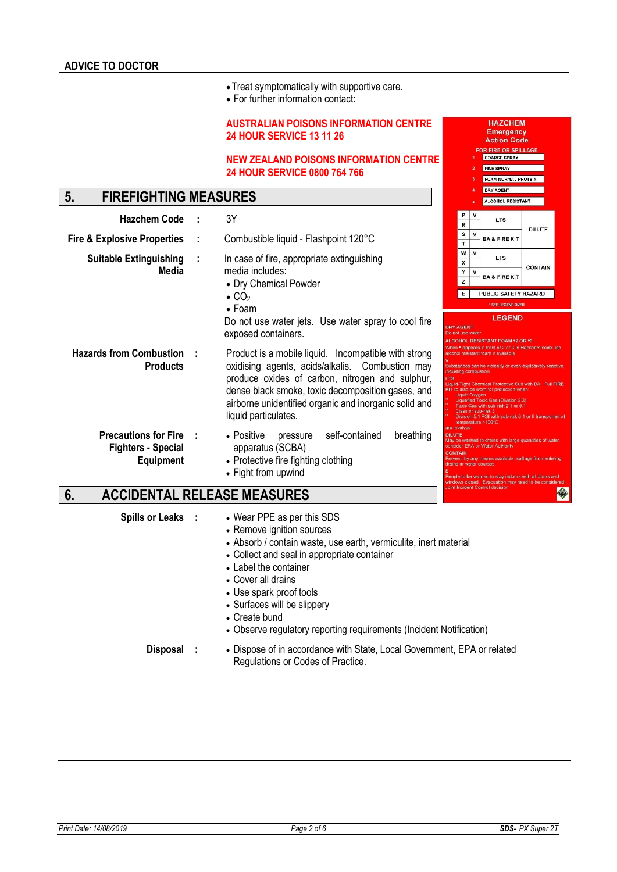•Treat symptomatically with supportive care.

• For further information contact:

#### **AUSTRALIAN POISONS INFORMATION CENTRE 24 HOUR SERVICE 13 11 26**

#### **NEW ZEALAND POISONS INFORMATION CENTRE 24 HOUR SERVICE 0800 764 766**

# **5. FIREFIGHTING MEASURES**

| <b>Hazchem Code</b>                                                          | 3Υ                                                                                                                                                                                                                                                                                                                                                                                                                                                                                                                                                                                                                                                                                                                                                                                        |                                                 | R                |              | <b>LTS</b>                                                                                                                                                                                                              |               |
|------------------------------------------------------------------------------|-------------------------------------------------------------------------------------------------------------------------------------------------------------------------------------------------------------------------------------------------------------------------------------------------------------------------------------------------------------------------------------------------------------------------------------------------------------------------------------------------------------------------------------------------------------------------------------------------------------------------------------------------------------------------------------------------------------------------------------------------------------------------------------------|-------------------------------------------------|------------------|--------------|-------------------------------------------------------------------------------------------------------------------------------------------------------------------------------------------------------------------------|---------------|
| <b>Fire &amp; Explosive Properties</b>                                       | Combustible liquid - Flashpoint 120°C                                                                                                                                                                                                                                                                                                                                                                                                                                                                                                                                                                                                                                                                                                                                                     |                                                 | s<br>$\mathbf T$ | v            | <b>BA &amp; FIRE KIT</b>                                                                                                                                                                                                | <b>DILUTE</b> |
| <b>Suitable Extinguishing</b>                                                | In case of fire, appropriate extinguishing                                                                                                                                                                                                                                                                                                                                                                                                                                                                                                                                                                                                                                                                                                                                                |                                                 | w<br>x           | $\mathsf{v}$ | <b>LTS</b>                                                                                                                                                                                                              |               |
| Media                                                                        | media includes:<br>• Dry Chemical Powder                                                                                                                                                                                                                                                                                                                                                                                                                                                                                                                                                                                                                                                                                                                                                  |                                                 | Υ<br>z           | v            | <b>BA &amp; FIRE KIT</b>                                                                                                                                                                                                | <b>CONTAI</b> |
|                                                                              | $\bullet$ CO <sub>2</sub><br>$\bullet$ Foam                                                                                                                                                                                                                                                                                                                                                                                                                                                                                                                                                                                                                                                                                                                                               |                                                 | Е                |              | <b>PUBLIC SAFETY HAZARD</b><br>* SEE LEGEND OVER                                                                                                                                                                        |               |
|                                                                              | Do not use water jets. Use water spray to cool fire<br>exposed containers.                                                                                                                                                                                                                                                                                                                                                                                                                                                                                                                                                                                                                                                                                                                | <b>DRY AGENT</b><br>Do not use water            |                  |              | <b>LEGEND</b><br>ALCOHOL RESISTANT FOAM *2 OR *3                                                                                                                                                                        |               |
| <b>Hazards from Combustion</b><br><b>Products</b>                            | When • appears in front of 2 or 3 in Hazchem co.<br>Product is a mobile liquid. Incompatible with strong<br>alcohol resistant foam if available<br>oxidising agents, acids/alkalis. Combustion may<br>Substances can be violently or even explosively<br>including combustion<br>produce oxides of carbon, nitrogen and sulphur,<br><b>LTS</b><br>Liquid-Tight Chemical Protective Suit with BA. F<br>dense black smoke, toxic decomposition gases, and<br>KIT to also be worn for protection when:<br>Liquid Oxygen<br>Liquefied Toxic Gas (Division 2.3)<br>airborne unidentified organic and inorganic solid and<br>Toxic Gas with sub-risk 2.1 or 5.1<br>Class or sub-risk 3<br>liquid particulates.<br>Division 5.1 PGI with sub-risk 6.1 or 8 trans<br>temperature $>100^{\circ}$ C |                                                 |                  |              |                                                                                                                                                                                                                         |               |
| <b>Precautions for Fire</b><br><b>Fighters - Special</b><br><b>Equipment</b> | self-contained<br>breathing<br>• Positive<br>pressure<br>apparatus (SCBA)<br>• Protective fire fighting clothing<br>• Fight from upwind                                                                                                                                                                                                                                                                                                                                                                                                                                                                                                                                                                                                                                                   | are involved<br><b>DILUTE</b><br><b>CONTAIN</b> |                  |              | May be washed to drains with large quantities of<br>consider EPA or Water Authority<br>Prevent, by any means available, spillage from e<br>drains or water courses<br>People to be warned to stay indoors with all door |               |

# **6. ACCIDENTAL RELEASE MEASURES**

- **Spills or Leaks :** Wear PPE as per this SDS
	- Remove ignition sources
	- Absorb / contain waste, use earth, vermiculite, inert material
	- Collect and seal in appropriate container
	- Label the container
	- Cover all drains
	- Use spark proof tools
	- Surfaces will be slippery
	- Create bund
	- Observe regulatory reporting requirements (Incident Notification)

**Disposal :** • Dispose of in accordance with State, Local Government, EPA or related Regulations or Codes of Practice.

**HAZCHEM Emergency Action Code OR FIRE OR SPILLA** COARSE SPRAY FINE SPRAY FOAM NORMAL PROTEIN DRY AGENT ALCOHOL RESISTANT

**LTS** 

sint Incident Control decisi

今

**DILUTE** 

CONTAIN

 $B$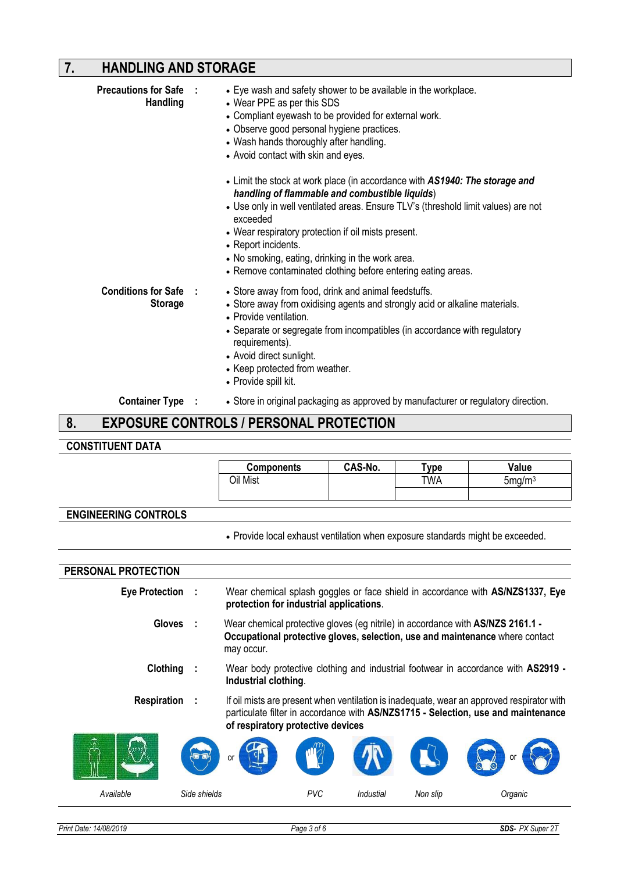# **7. HANDLING AND STORAGE**

| <b>Precautions for Safe :</b> | <b>Handling</b>         | • Eye wash and safety shower to be available in the workplace.<br>• Wear PPE as per this SDS<br>• Compliant eyewash to be provided for external work.<br>• Observe good personal hygiene practices.<br>• Wash hands thoroughly after handling.<br>• Avoid contact with skin and eyes.<br>• Limit the stock at work place (in accordance with AS1940: The storage and<br>handling of flammable and combustible liquids)<br>• Use only in well ventilated areas. Ensure TLV's (threshold limit values) are not<br>exceeded<br>• Wear respiratory protection if oil mists present.<br>• Report incidents.<br>• No smoking, eating, drinking in the work area.<br>• Remove contaminated clothing before entering eating areas. |
|-------------------------------|-------------------------|----------------------------------------------------------------------------------------------------------------------------------------------------------------------------------------------------------------------------------------------------------------------------------------------------------------------------------------------------------------------------------------------------------------------------------------------------------------------------------------------------------------------------------------------------------------------------------------------------------------------------------------------------------------------------------------------------------------------------|
| <b>Conditions for Safe :</b>  | <b>Storage</b>          | • Store away from food, drink and animal feedstuffs.<br>• Store away from oxidising agents and strongly acid or alkaline materials.<br>• Provide ventilation.<br>• Separate or segregate from incompatibles (in accordance with regulatory<br>requirements).<br>• Avoid direct sunlight.<br>• Keep protected from weather.<br>• Provide spill kit.                                                                                                                                                                                                                                                                                                                                                                         |
|                               | <b>Container Type :</b> | • Store in original packaging as approved by manufacturer or regulatory direction.                                                                                                                                                                                                                                                                                                                                                                                                                                                                                                                                                                                                                                         |
| 8.                            |                         | <b>EXPOSURE CONTROLS / PERSONAL PROTECTION</b>                                                                                                                                                                                                                                                                                                                                                                                                                                                                                                                                                                                                                                                                             |

### **8. EXPOSURE CONTROLS / PERSONAL PROTECTION**

# **CONSTITUENT DATA**

|                             | <b>Components</b>                                                                                                                                                             | CAS-No. | Type | Value                                                                                                                                                                          |
|-----------------------------|-------------------------------------------------------------------------------------------------------------------------------------------------------------------------------|---------|------|--------------------------------------------------------------------------------------------------------------------------------------------------------------------------------|
|                             | Oil Mist                                                                                                                                                                      |         | TWA  | 5mg/m <sup>3</sup>                                                                                                                                                             |
|                             |                                                                                                                                                                               |         |      |                                                                                                                                                                                |
| <b>ENGINEERING CONTROLS</b> |                                                                                                                                                                               |         |      |                                                                                                                                                                                |
|                             | • Provide local exhaust ventilation when exposure standards might be exceeded.                                                                                                |         |      |                                                                                                                                                                                |
|                             |                                                                                                                                                                               |         |      |                                                                                                                                                                                |
| PERSONAL PROTECTION         |                                                                                                                                                                               |         |      |                                                                                                                                                                                |
| Eye Protection :            | Wear chemical splash goggles or face shield in accordance with AS/NZS1337, Eye<br>protection for industrial applications.                                                     |         |      |                                                                                                                                                                                |
| <b>Gloves</b>               | Wear chemical protective gloves (eg nitrile) in accordance with AS/NZS 2161.1 -<br>Occupational protective gloves, selection, use and maintenance where contact<br>may occur. |         |      |                                                                                                                                                                                |
| Clothing                    | Industrial clothing.                                                                                                                                                          |         |      | Wear body protective clothing and industrial footwear in accordance with AS2919 -                                                                                              |
| <b>Respiration</b>          | of respiratory protective devices                                                                                                                                             |         |      | If oil mists are present when ventilation is inadequate, wear an approved respirator with<br>particulate filter in accordance with AS/NZS1715 - Selection, use and maintenance |
|                             |                                                                                                                                                                               |         |      |                                                                                                                                                                                |

| w<br>39<br>ΛI | $\mathbf{r}$<br><b>CONTRACTOR</b><br>$\sqrt{2}$<br>or | <b>ALLID</b> | TEN.      |          | $\overline{\mathcal{L}}$<br><b>TABLES</b><br>⋓<br>W) |
|---------------|-------------------------------------------------------|--------------|-----------|----------|------------------------------------------------------|
| Available     | Side shields                                          | PVC          | Industial | Non slip | Organic                                              |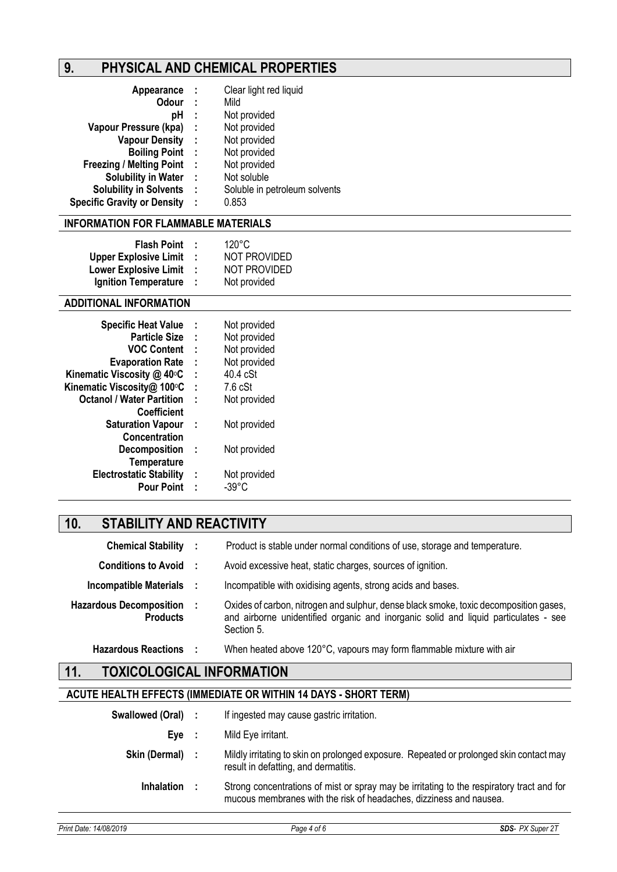# **9. PHYSICAL AND CHEMICAL PROPERTIES**

| Appearance                         | - 1 | Clear light red liquid        |
|------------------------------------|-----|-------------------------------|
| <b>Odour</b>                       | - 1 | Mild                          |
| рH                                 | ÷   | Not provided                  |
| Vapour Pressure (kpa)              | - 1 | Not provided                  |
| <b>Vapour Density</b>              | - 1 | Not provided                  |
| <b>Boiling Point :</b>             |     | Not provided                  |
| <b>Freezing / Melting Point</b>    | - 1 | Not provided                  |
| <b>Solubility in Water</b>         | - 1 | Not soluble                   |
| <b>Solubility in Solvents</b>      | - 1 | Soluble in petroleum solvents |
| <b>Specific Gravity or Density</b> | ÷   | 0.853                         |

### **INFORMATION FOR FLAMMABLE MATERIALS**

| <b>Flash Point</b>           |    | 120°C               |
|------------------------------|----|---------------------|
|                              |    |                     |
| <b>Upper Explosive Limit</b> | л. | <b>NOT PROVIDED</b> |
| <b>Lower Explosive Limit</b> | л. | <b>NOT PROVIDED</b> |
| <b>Ignition Temperature</b>  | л. | Not provided        |

### **ADDITIONAL INFORMATION**

| ÷ | Not provided |
|---|--------------|
| ÷ | Not provided |
| ÷ | Not provided |
| ÷ | Not provided |
| ÷ | $40.4$ cSt   |
| t | 7.6 cSt      |
| t | Not provided |
|   |              |
| ÷ | Not provided |
|   |              |
| ÷ | Not provided |
|   |              |
| ÷ | Not provided |
| t | -39°C        |
|   |              |

# **10. STABILITY AND REACTIVITY**

| <b>Chemical Stability :</b>                       | Product is stable under normal conditions of use, storage and temperature.                                                                                                                 |
|---------------------------------------------------|--------------------------------------------------------------------------------------------------------------------------------------------------------------------------------------------|
| <b>Conditions to Avoid :</b>                      | Avoid excessive heat, static charges, sources of ignition.                                                                                                                                 |
| Incompatible Materials :                          | Incompatible with oxidising agents, strong acids and bases.                                                                                                                                |
| <b>Hazardous Decomposition</b><br><b>Products</b> | Oxides of carbon, nitrogen and sulphur, dense black smoke, toxic decomposition gases,<br>and airborne unidentified organic and inorganic solid and liquid particulates - see<br>Section 5. |
| <b>Hazardous Reactions</b>                        | When heated above 120°C, vapours may form flammable mixture with air                                                                                                                       |

## **11. TOXICOLOGICAL INFORMATION**

### **ACUTE HEALTH EFFECTS (IMMEDIATE OR WITHIN 14 DAYS - SHORT TERM)**

| Swallowed (Oral) : |           | If ingested may cause gastric irritation.                                                                                                                       |
|--------------------|-----------|-----------------------------------------------------------------------------------------------------------------------------------------------------------------|
| Eve                | $\sim$ 1. | Mild Eye irritant.                                                                                                                                              |
| Skin (Dermal) :    |           | Mildly irritating to skin on prolonged exposure. Repeated or prolonged skin contact may<br>result in defatting, and dermatitis.                                 |
| <b>Inhalation</b>  |           | Strong concentrations of mist or spray may be irritating to the respiratory tract and for<br>mucous membranes with the risk of headaches, dizziness and nausea. |
|                    |           |                                                                                                                                                                 |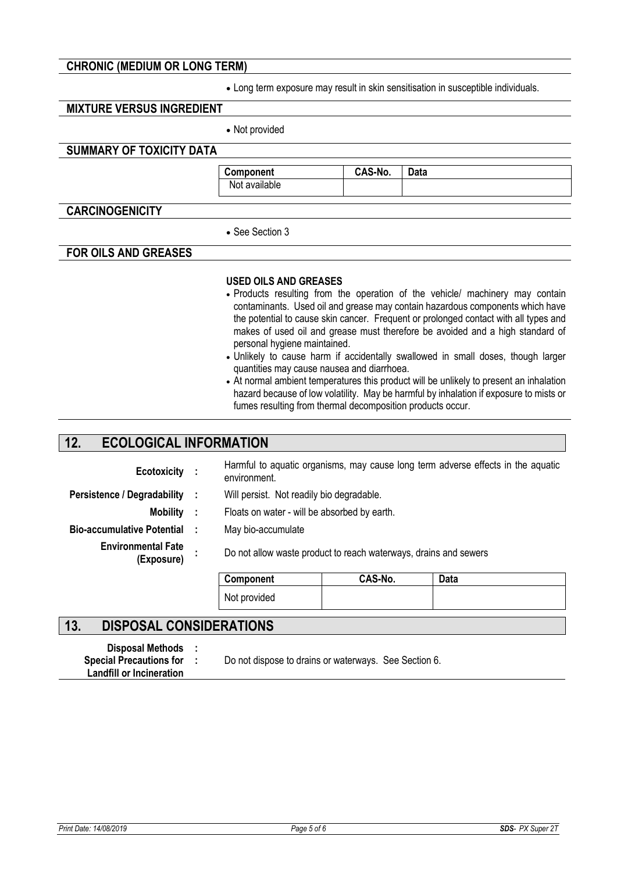### **CHRONIC (MEDIUM OR LONG TERM)**

• Long term exposure may result in skin sensitisation in susceptible individuals.

### **MIXTURE VERSUS INGREDIENT**

• Not provided

### **SUMMARY OF TOXICITY DATA**

**Component CAS-No. Data**  Not available

### **CARCINOGENICITY**

• See Section 3

### **FOR OILS AND GREASES**

#### **USED OILS AND GREASES**

- Products resulting from the operation of the vehicle/ machinery may contain contaminants. Used oil and grease may contain hazardous components which have the potential to cause skin cancer. Frequent or prolonged contact with all types and makes of used oil and grease must therefore be avoided and a high standard of personal hygiene maintained.
- Unlikely to cause harm if accidentally swallowed in small doses, though larger quantities may cause nausea and diarrhoea.
- At normal ambient temperatures this product will be unlikely to present an inhalation hazard because of low volatility. May be harmful by inhalation if exposure to mists or fumes resulting from thermal decomposition products occur.

### **12. ECOLOGICAL INFORMATION**

| Ecotoxicity :                           | environment.                                                     |         | Harmful to aquatic organisms, may cause long term adverse effects in the aquatic |
|-----------------------------------------|------------------------------------------------------------------|---------|----------------------------------------------------------------------------------|
| Persistence / Degradability :           | Will persist. Not readily bio degradable.                        |         |                                                                                  |
| Mobility :                              | Floats on water - will be absorbed by earth.                     |         |                                                                                  |
| Bio-accumulative Potential:             | May bio-accumulate                                               |         |                                                                                  |
| <b>Environmental Fate</b><br>(Exposure) | Do not allow waste product to reach waterways, drains and sewers |         |                                                                                  |
|                                         | Component                                                        | CAS-No. | Data                                                                             |
|                                         | Not provided                                                     |         |                                                                                  |

### **13. DISPOSAL CONSIDERATIONS**

| <b>Disposal Methods</b>         |  |
|---------------------------------|--|
| <b>Special Precautions for</b>  |  |
| <b>Landfill or Incineration</b> |  |

Do not dispose to drains or waterways. See Section 6.